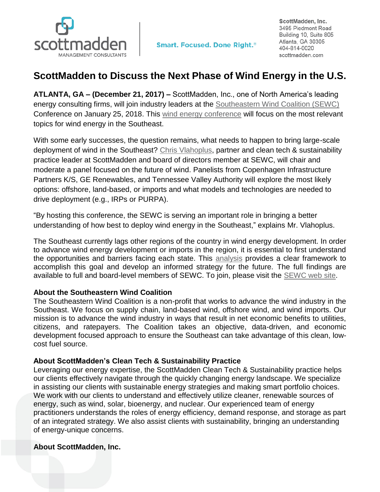

## **ScottMadden to Discuss the Next Phase of Wind Energy in the U.S.**

**ATLANTA, GA – (December 21, 2017) –** ScottMadden, Inc., one of North America's leading energy consulting firms, will join industry leaders at the [Southeastern Wind Coalition \(SEWC\)](http://www.sewind.org/) Conference on January 25, 2018. This [wind energy conference](https://www.awea.org/events/Event.aspx?EventID=57845&SubSectionID=10925&navItemNumber=10931) will focus on the most relevant topics for wind energy in the Southeast.

With some early successes, the question remains, what needs to happen to bring large-scale deployment of wind in the Southeast? [Chris Vlahoplus,](https://www.scottmadden.com/person/chris-vlahoplus/) partner and clean tech & sustainability practice leader at ScottMadden and board of directors member at SEWC, will chair and moderate a panel focused on the future of wind. Panelists from Copenhagen Infrastructure Partners K/S, GE Renewables, and Tennessee Valley Authority will explore the most likely options: offshore, land-based, or imports and what models and technologies are needed to drive deployment (e.g., IRPs or PURPA).

"By hosting this conference, the SEWC is serving an important role in bringing a better understanding of how best to deploy wind energy in the Southeast," explains Mr. Vlahoplus.

The Southeast currently lags other regions of the country in wind energy development. In order to advance wind energy development or imports in the region, it is essential to first understand the opportunities and barriers facing each state. This [analysis](https://www.scottmadden.com/insight/understanding-wind-energy-potential-southeast/) provides a clear framework to accomplish this goal and develop an informed strategy for the future. The full findings are available to full and board-level members of SEWC. To join, please visit the [SEWC web](http://www.sewind.org/join-us) site.

## **About the Southeastern Wind Coalition**

The Southeastern Wind Coalition is a non-profit that works to advance the wind industry in the Southeast. We focus on supply chain, land-based wind, offshore wind, and wind imports. Our mission is to advance the wind industry in ways that result in net economic benefits to utilities, citizens, and ratepayers. The Coalition takes an objective, data-driven, and economic development focused approach to ensure the Southeast can take advantage of this clean, lowcost fuel source.

## **About ScottMadden's Clean Tech & Sustainability Practice**

Leveraging our energy expertise, the ScottMadden Clean Tech & Sustainability practice helps our clients effectively navigate through the quickly changing energy landscape. We specialize in assisting our clients with sustainable energy strategies and making smart portfolio choices. We work with our clients to understand and effectively utilize cleaner, renewable sources of energy, such as wind, solar, bioenergy, and nuclear. Our experienced team of energy practitioners understands the roles of energy efficiency, demand response, and storage as part of an integrated strategy. We also assist clients with sustainability, bringing an understanding of energy-unique concerns.

## **About ScottMadden, Inc.**